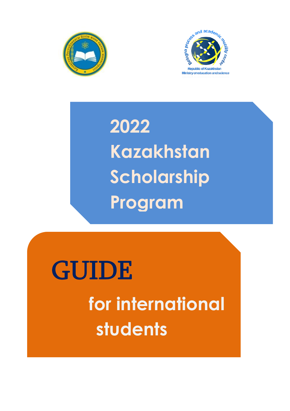



**2022 Kazakhstan Scholarship Program**

# GUIDE  **for international students**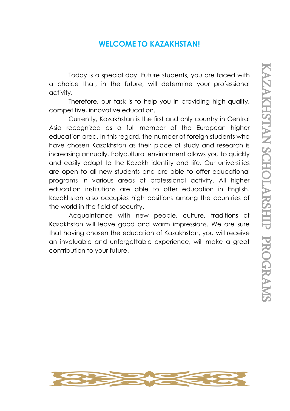## **WELCOME TO KAZAKHSTAN!**

Today is a special day. Future students, you are faced with a choice that, in the future, will determine your professional activity.

Therefore, our task is to help you in providing high-quality, competitive, innovative education.

Currently, Kazakhstan is the first and only country in Central Asia recognized as a full member of the European higher education area. In this regard, the number of foreign students who have chosen Kazakhstan as their place of study and research is increasing annually. Polycultural environment allows you to quickly and easily adapt to the Kazakh identity and life. Our universities are open to all new students and are able to offer educational programs in various areas of professional activity. All higher education institutions are able to offer education in English. Kazakhstan also occupies high positions among the countries of the world in the field of security.

Acquaintance with new people, culture, traditions of Kazakhstan will leave good and warm impressions. We are sure that having chosen the education of Kazakhstan, you will receive an invaluable and unforgettable experience, will make a great contribution to your future.

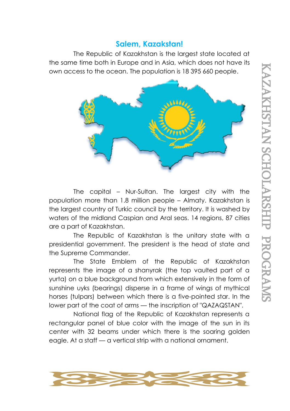## **Salem, Kazakstan!**

The Republic of Kazakhstan is the largest state located at the same time both in Europe and in Asia, which does not have its own access to the ocean. The population is 18 395 660 people.



The capital – Nur-Sultan. The largest city with the population more than 1.8 million people – Almaty. Kazakhstan is the largest country of Turkic council by the territory. It is washed by waters of the midland Caspian and Aral seas. 14 regions, 87 cities are a part of Kazakhstan.

The Republic of Kazakhstan is the unitary state with a presidential government. The president is the head of state and the Supreme Commander.

The State Emblem of the Republic of Kazakhstan represents the image of a shanyrak (the top vaulted part of a yurta) on a blue background from which extensively in the form of sunshine uyks (bearings) disperse in a frame of wings of mythical horses (tulpars) between which there is a five-pointed star. In the lower part of the coat of arms — the inscription of "QAZAQSTAN".

National flag of the Republic of Kazakhstan represents a rectangular panel of blue color with the image of the sun in its center with 32 beams under which there is the soaring golden eagle. At a staff — a vertical strip with a national ornament.

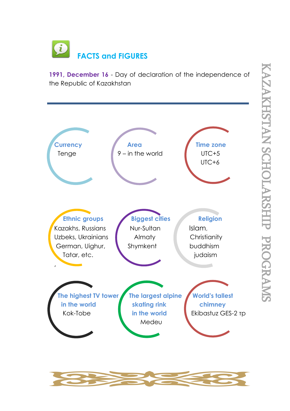$\overline{u}$  **FACTS and FIGURES**

**1991, December 16** - Day of declaration of the independence of the Republic of Kazakhstan



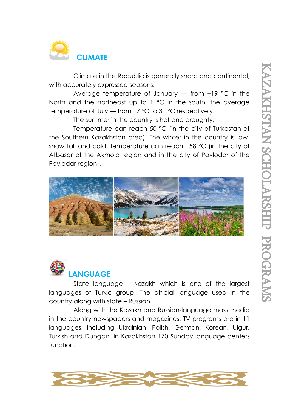

Climate in the Republic is generally sharp and continental, with accurately expressed seasons.

Average temperature of January — from −19 °C in the North and the northeast up to  $1 \text{ }^{\circ}$ C in the south, the average temperature of July — from 17 °C to 31 °C respectively.

The summer in the country is hot and droughty.

Temperature can reach 50 °C (in the city of Turkestan of the Southern Kazakhstan area). The winter in the country is lowsnow fall and cold, temperature can reach −58 °C (in the city of Atbasar of the Akmola region and in the city of Pavlodar of the Pavlodar region).





State language – Kazakh which is one of the largest languages of Turkic group. The official language used in the country along with state – Russian.

Along with the Kazakh and Russian-language mass media in the country newspapers and magazines, TV programs are in 11 languages, including Ukrainian, Polish, German, Korean, Uigur, Turkish and Dungan. In Kazakhstan 170 Sunday language centers function.

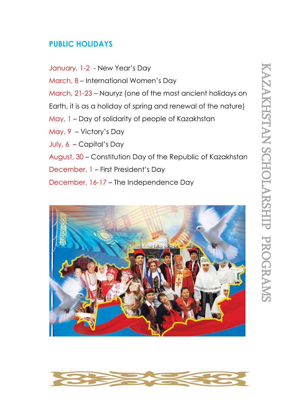## **PUBLIC HOLIDAYS**

January, 1-2 - New Year's Day March, 8 – International Women's Day March, 21-23 – Nauryz (one of the most ancient holidays on Earth, it is as a holiday of spring and renewal of the nature) May, 1 – Day of solidarity of people of Kazakhstan May, 9 – Victory's Day July, 6 – Capital's Day August, 30 – Constitution Day of the Republic of Kazakhstan December, 1 – First President's Day December, 16-17 – The Independence Day



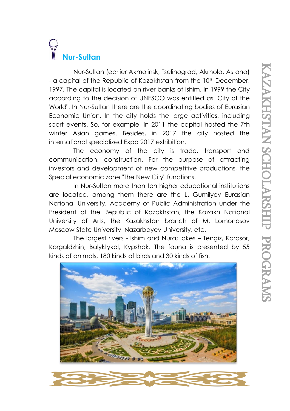## **Nur-Sultan**

Nur-Sultan (earlier Akmolinsk, Tselinograd, Akmola, Astana) - a capital of the Republic of Kazakhstan from the 10<sup>th</sup> December, 1997. The capital is located on river banks of Ishim. In 1999 the City according to the decision of UNESCO was entitled as "City of the World". In Nur-Sultan there are the coordinating bodies of Eurasian Economic Union. In the city holds the large activities, including sport events. So, for example, in 2011 the capital hosted the 7th winter Asian games. Besides, in 2017 the city hosted the international specialized Expo 2017 exhibition.

The economy of the city is trade, transport and communication, construction. For the purpose of attracting investors and development of new competitive productions, the Special economic zone "The New City" functions.

In Nur-Sultan more than ten higher educational institutions are located, among them there are the L. Gumilyov Eurasian National University, Academy of Public Administration under the President of the Republic of Kazakhstan, the Kazakh National University of Arts, the Kazakhstan branch of M. Lomonosov Moscow State University, Nazarbayev University, etc.

The largest rivers - Ishim and Nura; lakes – Tengiz, Karasor, Korgaldzhin, Balyktykol, Kypshak. The fauna is presented by 55 kinds of animals, 180 kinds of birds and 30 kinds of fish.

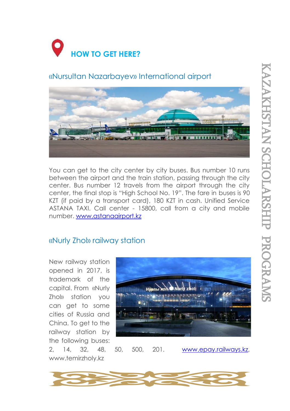

## «Nursultan Nazarbayev» International airport



You can get to the city center by city buses. Bus number 10 runs between the airport and the train station, passing through the city center. Bus number 12 travels from the airport through the city center, the final stop is "High School No. 19". The fare in buses is 90 KZT (if paid by a transport card), 180 KZT in cash. Unified Service ASTANA TAXI. Call center - 15800, call from a city and mobile number. [www.astanaairport.kz](http://www.astanaairport.kz/)

## «Nurly Zhol» railway station

New railway station opened in 2017, is trademark of the capital. From «Nurly Zhol» station you can get to some cities of Russia and China. To get to the railway station by the following buses:



2, 14, 32, 48, 50, 500, 201. [www.epay.railways.kz,](http://www.epay.railways.kz/) [www.temirzholy.kz](http://www.temirzholy.kz/)

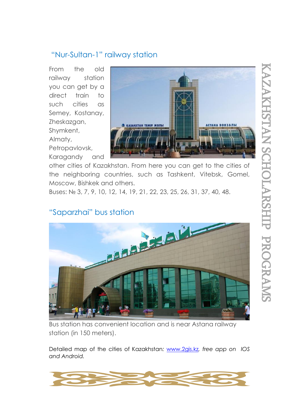## "Nur-Sultan-1" railway station

From the old railway station you can get by a direct train to such cities as Semey, Kostanay, Zheskazgan, Shymkent, Almaty,

Petropavlovsk, Karagandy and



other cities of Kazakhstan. From here you can get to the cities of the neighboring countries, such as Tashkent, Vitebsk, Gomel, Moscow, Bishkek and others.

Buses: № 3, 7, 9, 10, 12, 14, 19, 21, 22, 23, 25, 26, 31, 37, 40, 48.

## "Saparzhai" bus station



Bus station has convenient location and is near Astana railway station (in 150 meters).

Detailed map of the cities of Kazakhstan*:* [www.2gis.kz](http://www.2gis.kz/)*, free app on IOS and Android.*

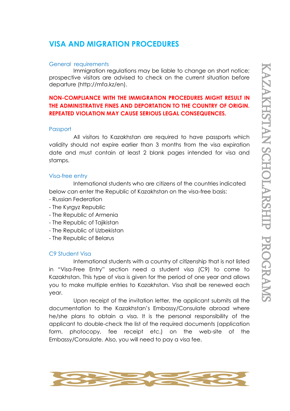### **VISA AND MIGRATION PROCEDURES**

#### General requirements

Immigration regulations may be liable to change on short notice; prospective visitors are advised to check on the current situation before departure [\(http://mfa.kz/en\)](http://mfa.kz/en).

#### **NON-COMPLIANCE WITH THE IMMIGRATION PROCEDURES MIGHT RESULT IN THE ADMINISTRATIVE FINES AND DEPORTATION TO THE COUNTRY OF ORIGIN. REPEATED VIOLATION MAY CAUSE SERIOUS LEGAL CONSEQUENCES.**

#### Passport

All visitors to Kazakhstan are required to have passports which validity should not expire earlier than 3 months from the visa expiration date and must contain at least 2 blank pages intended for visa and stamps.

#### Visa-free entry

International students who are citizens of the countries indicated below can enter the Republic of Kazakhstan on the visa-free basis:

- Russian Federation
- The Kyrgyz Republic
- The Republic of Armenia
- The Republic of Tajikistan
- The Republic of Uzbekistan
- The Republic of Belarus

#### C9 Student Visa

International students with a country of citizenship that is not listed in "Visa-Free Entry" section need a student visa (C9) to come to Kazakhstan. This type of visa is given for the period of one year and allows you to make multiple entries to Kazakhstan. Visa shall be renewed each year.

Upon receipt of the invitation letter, the applicant submits all the documentation to the Kazakhstan's Embassy/Consulate abroad where he/she plans to obtain a visa. It is the personal responsibility of the applicant to double-check the list of the required documents (application form, photocopy, fee receipt etc.) on the web-site of the Embassy/Consulate. Also, you will need to pay a visa fee.

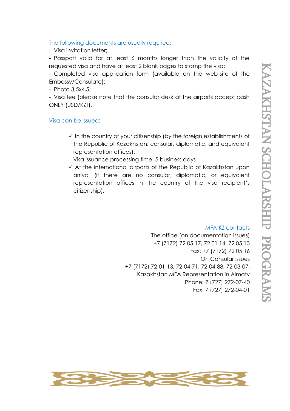#### The following documents are usually required:

- Visa invitation letter;

- Passport valid for at least 6 months longer than the validity of the requested visa and have at least 2 blank pages to stamp the visa;

- Completed visa application form (available on the web-site of the Embassy/Consulate);

- Photo 3,5х4,5;

- Visa fee (please note that the consular desk at the airports accept cash ONLY (USD/KZT).

#### Visa can be issued:

 $\checkmark$  In the country of your citizenship (by the foreign establishments of the Republic of Kazakhstan: consular, diplomatic, and equivalent representation offices).

Visa issuance processing time: 5 business days

✓ At the international airports of the Republic of Kazakhstan upon arrival (if there are no consular, diplomatic, or equivalent representation offices in the country of the visa recipient's citizenship).

#### MFA KZ contacts

The office (on documentation issues) +7 (7172) 72 05 17, 72 01 14, 72 05 13 Fax: +7 (7172) 72 05 16 On Consular issues +7 (7172) 72-01-13, 72-04-71, 72-04-88, 72-03-07. Kazakhstan MFA Representation in Almaty Phone: 7 (727) 272-07-40 Fax: 7 (727) 272-04-01

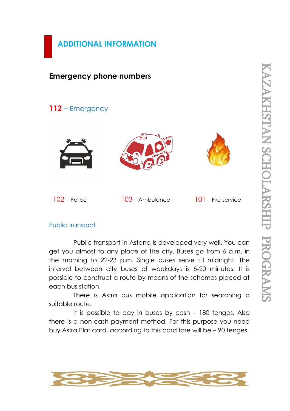

## **Emergency phone numbers**

## **112** – Emergency







102 – Police 103 – Ambulance 101 – Fire service

#### Public transport

Public transport in Astana is developed very well. You can get you almost to any place of the city. Buses go from 6 a.m. in the morning to 22-23 p.m. Single buses serve till midnight. The interval between city buses of weekdays is 5-20 minutes. It is possible to construct a route by means of the schemes placed at each bus station.

There is Astra bus mobile application for searching a suitable route.

It is possible to pay in buses by cash – 180 tenges. Also there is a non-cash payment method. For this purpose you need buy Astra Plat card, according to this card fare will be – 90 tenges.